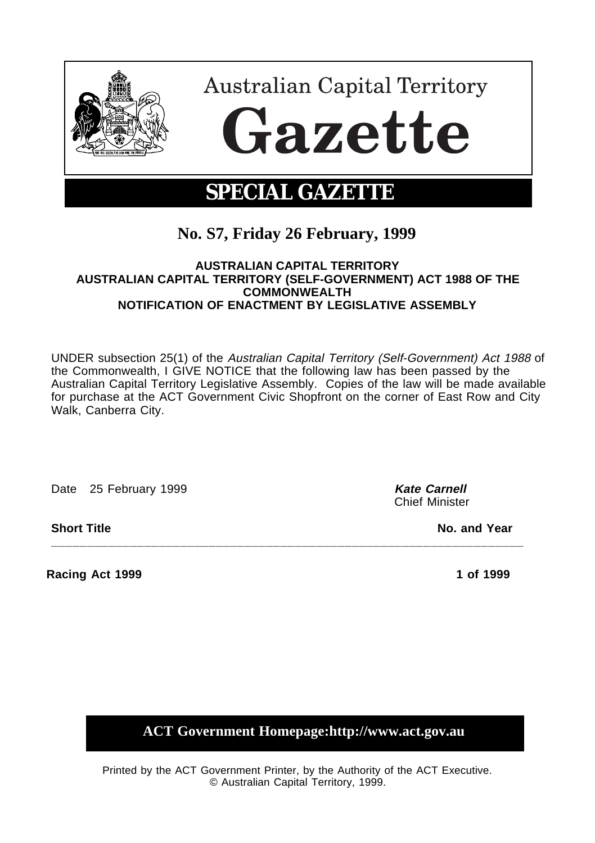

# **No. S7, Friday 26 February, 1999**

# **AUSTRALIAN CAPITAL TERRITORY AUSTRALIAN CAPITAL TERRITORY (SELF-GOVERNMENT) ACT 1988 OF THE COMMONWEALTH NOTIFICATION OF ENACTMENT BY LEGISLATIVE ASSEMBLY**

UNDER subsection 25(1) of the Australian Capital Territory (Self-Government) Act 1988 of the Commonwealth, I GIVE NOTICE that the following law has been passed by the Australian Capital Territory Legislative Assembly. Copies of the law will be made available for purchase at the ACT Government Civic Shopfront on the corner of East Row and City Walk, Canberra City.

**\_\_\_\_\_\_\_\_\_\_\_\_\_\_\_\_\_\_\_\_\_\_\_\_\_\_\_\_\_\_\_\_\_\_\_\_\_\_\_\_\_\_\_\_\_\_\_\_\_\_\_\_\_\_\_\_\_\_\_\_\_\_\_\_\_\_**

Date 25 February 1999 **Kate Carnell Kate Carnell** 

**Racing Act 1999 1 of 1999** 1 of 1999 1 of 1999 1 of 1999 1 of 1999 1 of 1999 1 of 1999 1 of 1999 1 of 1999 1 of 1999 1 of 1999 1 of 1999 1 of 1999 1 of 1999 1 of 1999 1 of 1999 1 of 1999 1 of 1999 1 of 1999 1 of 1999 1 of

Chief Minister

**Short Title No. and Year** 

**ACT Government Homepage:http://www.act.gov.au**

Printed by the ACT Government Printer, by the Authority of the ACT Executive. © Australian Capital Territory, 1999.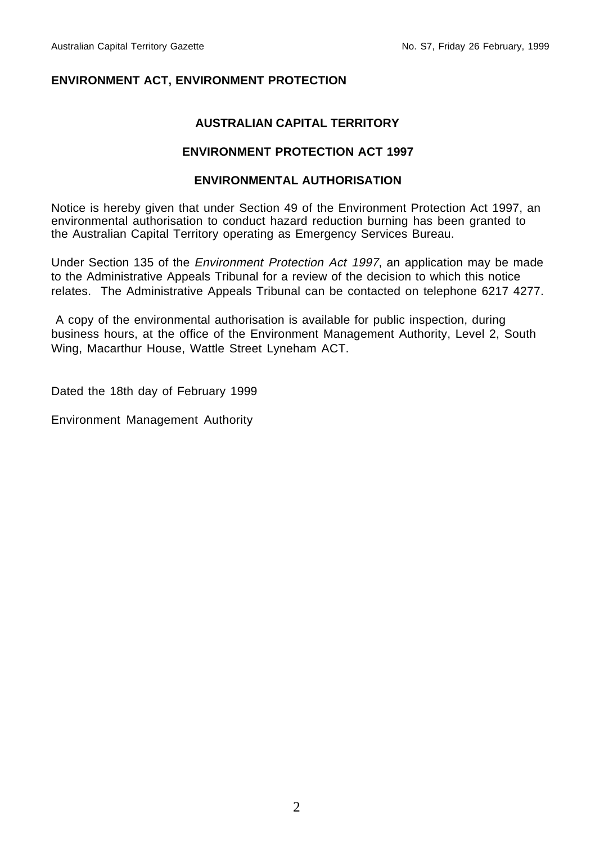# **ENVIRONMENT ACT, ENVIRONMENT PROTECTION**

# **AUSTRALIAN CAPITAL TERRITORY**

# **ENVIRONMENT PROTECTION ACT 1997**

# **ENVIRONMENTAL AUTHORISATION**

Notice is hereby given that under Section 49 of the Environment Protection Act 1997, an environmental authorisation to conduct hazard reduction burning has been granted to the Australian Capital Territory operating as Emergency Services Bureau.

Under Section 135 of the Environment Protection Act 1997, an application may be made to the Administrative Appeals Tribunal for a review of the decision to which this notice relates. The Administrative Appeals Tribunal can be contacted on telephone 6217 4277.

 A copy of the environmental authorisation is available for public inspection, during business hours, at the office of the Environment Management Authority, Level 2, South Wing, Macarthur House, Wattle Street Lyneham ACT.

Dated the 18th day of February 1999

Environment Management Authority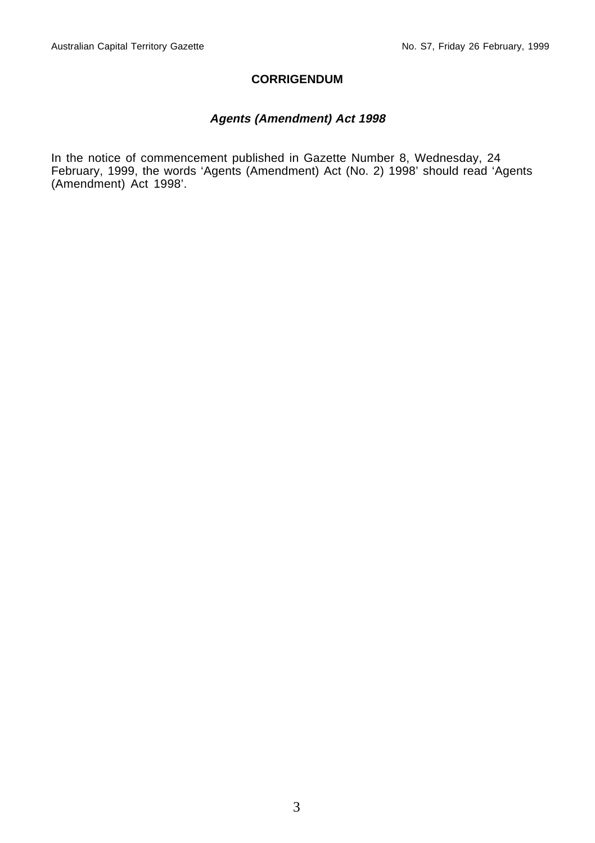#### **CORRIGENDUM**

# **Agents (Amendment) Act 1998**

In the notice of commencement published in Gazette Number 8, Wednesday, 24 February, 1999, the words 'Agents (Amendment) Act (No. 2) 1998' should read 'Agents (Amendment) Act 1998'.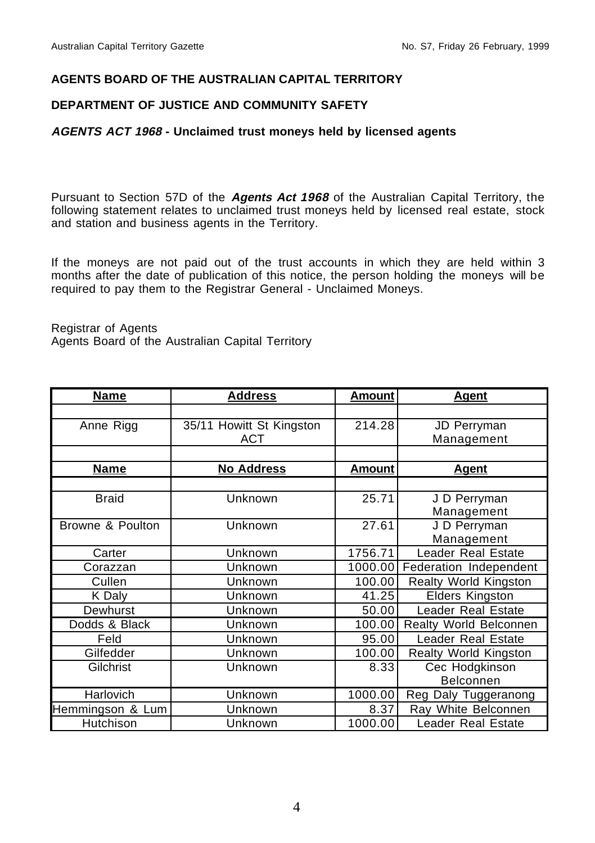## **AGENTS BOARD OF THE AUSTRALIAN CAPITAL TERRITORY**

# **DEPARTMENT OF JUSTICE AND COMMUNITY SAFETY**

#### **AGENTS ACT 1968 - Unclaimed trust moneys held by licensed agents**

Pursuant to Section 57D of the **Agents Act 1968** of the Australian Capital Territory, the following statement relates to unclaimed trust moneys held by licensed real estate, stock and station and business agents in the Territory.

If the moneys are not paid out of the trust accounts in which they are held within 3 months after the date of publication of this notice, the person holding the moneys will be required to pay them to the Registrar General - Unclaimed Moneys.

Registrar of Agents

Agents Board of the Australian Capital Territory

| <b>Name</b>      | <b>Address</b>           | <b>Amount</b> | <b>Agent</b>                  |
|------------------|--------------------------|---------------|-------------------------------|
|                  |                          |               |                               |
| Anne Rigg        | 35/11 Howitt St Kingston | 214.28        | JD Perryman                   |
|                  | <b>ACT</b>               |               | Management                    |
|                  |                          |               |                               |
| <b>Name</b>      | <b>No Address</b>        | <b>Amount</b> | <b>Agent</b>                  |
|                  |                          |               |                               |
| <b>Braid</b>     | Unknown                  | 25.71         | J D Perryman                  |
|                  |                          |               | Management                    |
| Browne & Poulton | Unknown                  | 27.61         | J D Perryman                  |
|                  |                          |               | Management                    |
| Carter           | Unknown                  | 1756.71       | Leader Real Estate            |
| Corazzan         | Unknown                  | 1000.00       | Federation Independent        |
| Cullen           | Unknown                  | 100.00        | <b>Realty World Kingston</b>  |
| K Daly           | Unknown                  | 41.25         | Elders Kingston               |
| Dewhurst         | Unknown                  | 50.00         | Leader Real Estate            |
| Dodds & Black    | Unknown                  | 100.00        | <b>Realty World Belconnen</b> |
| Feld             | Unknown                  | 95.00         | Leader Real Estate            |
| Gilfedder        | Unknown                  | 100.00        | <b>Realty World Kingston</b>  |
| Gilchrist        | Unknown                  | 8.33          | Cec Hodgkinson                |
|                  |                          |               | Belconnen                     |
| <b>Harlovich</b> | Unknown                  | 1000.00       | Reg Daly Tuggeranong          |
| Hemmingson & Lum | Unknown                  | 8.37          | Ray White Belconnen           |
| Hutchison        | Unknown                  | 1000.00       | <b>Leader Real Estate</b>     |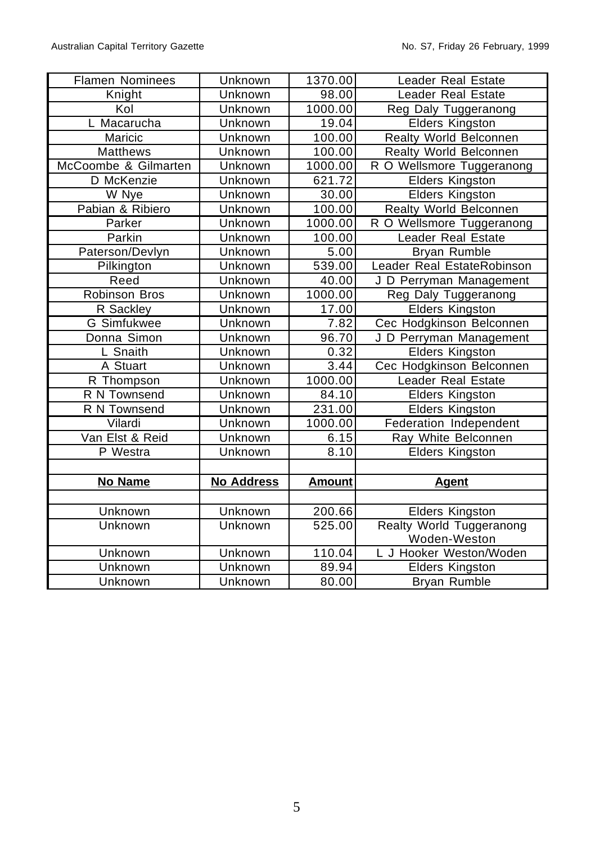| <b>Flamen Nominees</b> | Unknown           | 1370.00       | Leader Real Estate              |
|------------------------|-------------------|---------------|---------------------------------|
| Knight                 | Unknown           | 98.00         | Leader Real Estate              |
| Kol                    | Unknown           | 1000.00       | Reg Daly Tuggeranong            |
| L Macarucha            | Unknown           | 19.04         | <b>Elders Kingston</b>          |
| Maricic                | Unknown           | 100.00        | Realty World Belconnen          |
| <b>Matthews</b>        | Unknown           | 100.00        | Realty World Belconnen          |
| McCoombe & Gilmarten   | Unknown           | 1000.00       | R O Wellsmore Tuggeranong       |
| D McKenzie             | Unknown           | 621.72        | Elders Kingston                 |
| W Nye                  | Unknown           | 30.00         | <b>Elders Kingston</b>          |
| Pabian & Ribiero       | Unknown           | 100.00        | Realty World Belconnen          |
| Parker                 | Unknown           | 1000.00       | R O Wellsmore Tuggeranong       |
| Parkin                 | Unknown           | 100.00        | Leader Real Estate              |
| Paterson/Devlyn        | Unknown           | 5.00          | Bryan Rumble                    |
| Pilkington             | Unknown           | 539.00        | Leader Real EstateRobinson      |
| Reed                   | Unknown           | 40.00         | J D Perryman Management         |
| Robinson Bros          | Unknown           | 1000.00       | Reg Daly Tuggeranong            |
| R Sackley              | Unknown           | 17.00         | <b>Elders Kingston</b>          |
| G Simfukwee            | <b>Unknown</b>    | 7.82          | Cec Hodgkinson Belconnen        |
| Donna Simon            | Unknown           | 96.70         | J D Perryman Management         |
| L Snaith               | <b>Unknown</b>    | 0.32          | <b>Elders Kingston</b>          |
| A Stuart               | Unknown           | 3.44          | Cec Hodgkinson Belconnen        |
| R Thompson             | Unknown           | 1000.00       | Leader Real Estate              |
| R N Townsend           | Unknown           | 84.10         | <b>Elders Kingston</b>          |
| R N Townsend           | Unknown           | 231.00        | <b>Elders Kingston</b>          |
| Vilardi                | Unknown           | 1000.00       | Federation Independent          |
| Van Elst & Reid        | Unknown           | 6.15          | Ray White Belconnen             |
| P Westra               | Unknown           | 8.10          | <b>Elders Kingston</b>          |
|                        |                   |               |                                 |
| No Name                | <b>No Address</b> | <b>Amount</b> | <b>Agent</b>                    |
|                        |                   |               |                                 |
| <b>Unknown</b>         | <b>Unknown</b>    | 200.66        | <b>Elders Kingston</b>          |
| Unknown                | Unknown           | 525.00        | <b>Realty World Tuggeranong</b> |
|                        |                   |               | Woden-Weston                    |
| Unknown                | <b>Unknown</b>    | 110.04        | L J Hooker Weston/Woden         |
| Unknown                | Unknown           | 89.94         | <b>Elders Kingston</b>          |
| Unknown                | Unknown           | 80.00         | <b>Bryan Rumble</b>             |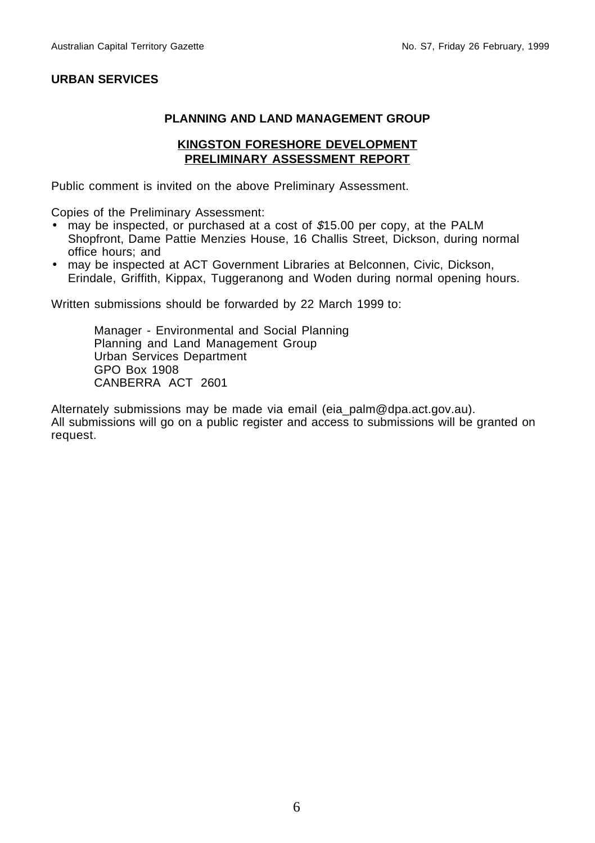# **URBAN SERVICES**

# **PLANNING AND LAND MANAGEMENT GROUP**

#### **KINGSTON FORESHORE DEVELOPMENT PRELIMINARY ASSESSMENT REPORT**

Public comment is invited on the above Preliminary Assessment.

Copies of the Preliminary Assessment:

- may be inspected, or purchased at a cost of \$15.00 per copy, at the PALM Shopfront, Dame Pattie Menzies House, 16 Challis Street, Dickson, during normal office hours; and
- may be inspected at ACT Government Libraries at Belconnen, Civic, Dickson, Erindale, Griffith, Kippax, Tuggeranong and Woden during normal opening hours.

Written submissions should be forwarded by 22 March 1999 to:

Manager - Environmental and Social Planning Planning and Land Management Group Urban Services Department GPO Box 1908 CANBERRA ACT 2601

Alternately submissions may be made via email (eia\_palm@dpa.act.gov.au). All submissions will go on a public register and access to submissions will be granted on request.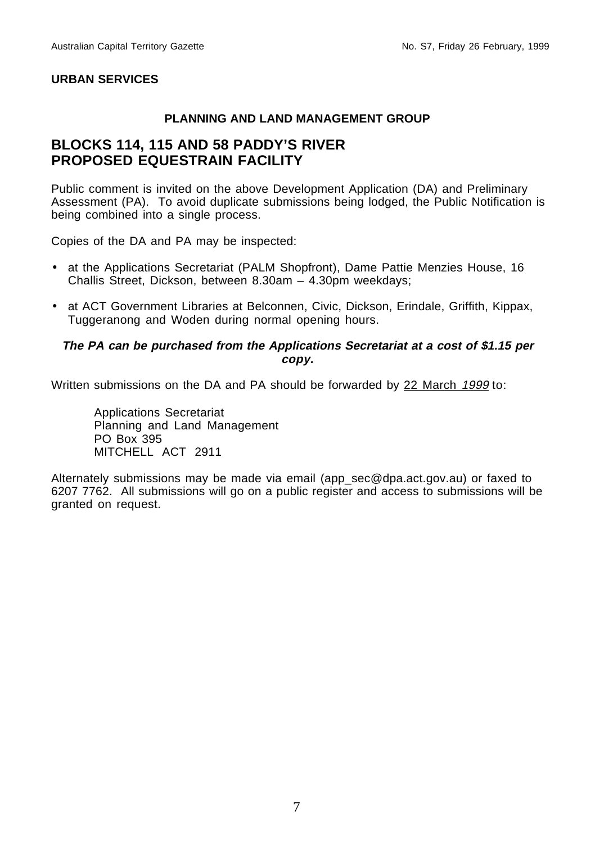# **URBAN SERVICES**

# **PLANNING AND LAND MANAGEMENT GROUP**

# **BLOCKS 114, 115 AND 58 PADDY'S RIVER PROPOSED EQUESTRAIN FACILITY**

Public comment is invited on the above Development Application (DA) and Preliminary Assessment (PA). To avoid duplicate submissions being lodged, the Public Notification is being combined into a single process.

Copies of the DA and PA may be inspected:

- at the Applications Secretariat (PALM Shopfront), Dame Pattie Menzies House, 16 Challis Street, Dickson, between 8.30am – 4.30pm weekdays;
- at ACT Government Libraries at Belconnen, Civic, Dickson, Erindale, Griffith, Kippax, Tuggeranong and Woden during normal opening hours.

#### **The PA can be purchased from the Applications Secretariat at a cost of \$1.15 per copy.**

Written submissions on the DA and PA should be forwarded by 22 March 1999 to:

Applications Secretariat Planning and Land Management PO Box 395 MITCHELL ACT 2911

Alternately submissions may be made via email (app\_sec@dpa.act.gov.au) or faxed to 6207 7762. All submissions will go on a public register and access to submissions will be granted on request.